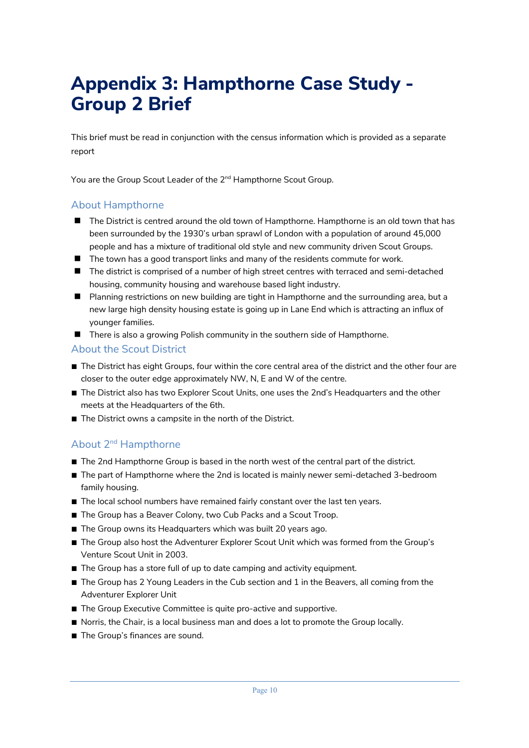## **Appendix 3: Hampthorne Case Study - Group 2 Brief**

This brief must be read in conjunction with the census information which is provided as a separate report

You are the Group Scout Leader of the 2<sup>nd</sup> Hampthorne Scout Group.

## About Hampthorne

- $\blacksquare$  The District is centred around the old town of Hampthorne. Hampthorne is an old town that has been surrounded by the 1930's urban sprawl of London with a population of around 45,000 people and has a mixture of traditional old style and new community driven Scout Groups.
- $\blacksquare$  The town has a good transport links and many of the residents commute for work.
- $\blacksquare$  The district is comprised of a number of high street centres with terraced and semi-detached housing, community housing and warehouse based light industry.
- **n** Planning restrictions on new building are tight in Hampthorne and the surrounding area, but a new large high density housing estate is going up in Lane End which is attracting an influx of younger families.
- $\blacksquare$  There is also a growing Polish community in the southern side of Hampthorne.

## About the Scout District

- The District has eight Groups, four within the core central area of the district and the other four are closer to the outer edge approximately NW, N, E and W of the centre.
- The District also has two Explorer Scout Units, one uses the 2nd's Headquarters and the other meets at the Headquarters of the 6th.
- The District owns a campsite in the north of the District.

## About 2nd Hampthorne

- The 2nd Hampthorne Group is based in the north west of the central part of the district.
- The part of Hampthorne where the 2nd is located is mainly newer semi-detached 3-bedroom family housing.
- The local school numbers have remained fairly constant over the last ten years.
- The Group has a Beaver Colony, two Cub Packs and a Scout Troop.
- The Group owns its Headquarters which was built 20 years ago.
- The Group also host the Adventurer Explorer Scout Unit which was formed from the Group's Venture Scout Unit in 2003.
- The Group has a store full of up to date camping and activity equipment.
- The Group has 2 Young Leaders in the Cub section and 1 in the Beavers, all coming from the Adventurer Explorer Unit
- The Group Executive Committee is quite pro-active and supportive.
- Norris, the Chair, is a local business man and does a lot to promote the Group locally.
- The Group's finances are sound.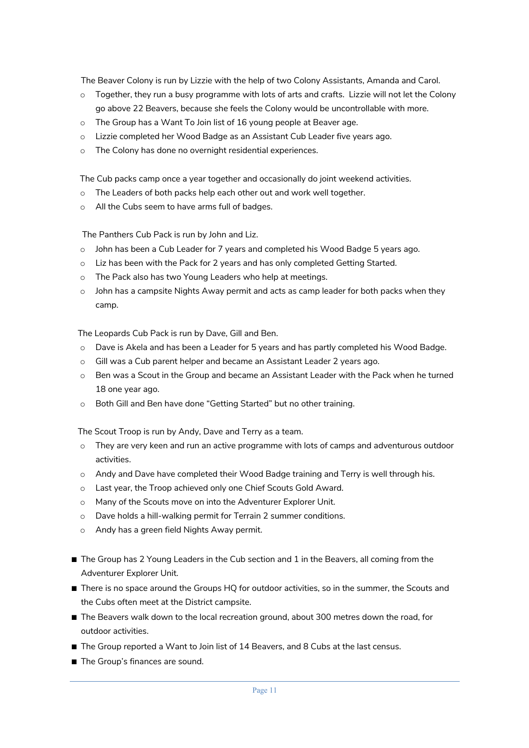The Beaver Colony is run by Lizzie with the help of two Colony Assistants, Amanda and Carol.

- $\circ$  Together, they run a busy programme with lots of arts and crafts. Lizzie will not let the Colony go above 22 Beavers, because she feels the Colony would be uncontrollable with more.
- o The Group has a Want To Join list of 16 young people at Beaver age.
- o Lizzie completed her Wood Badge as an Assistant Cub Leader five years ago.
- o The Colony has done no overnight residential experiences.

The Cub packs camp once a year together and occasionally do joint weekend activities.

- o The Leaders of both packs help each other out and work well together.
- o All the Cubs seem to have arms full of badges.

The Panthers Cub Pack is run by John and Liz.

- o John has been a Cub Leader for 7 years and completed his Wood Badge 5 years ago.
- o Liz has been with the Pack for 2 years and has only completed Getting Started.
- o The Pack also has two Young Leaders who help at meetings.
- $\circ$  John has a campsite Nights Away permit and acts as camp leader for both packs when they camp.

The Leopards Cub Pack is run by Dave, Gill and Ben.

- o Dave is Akela and has been a Leader for 5 years and has partly completed his Wood Badge.
- o Gill was a Cub parent helper and became an Assistant Leader 2 years ago.
- o Ben was a Scout in the Group and became an Assistant Leader with the Pack when he turned 18 one year ago.
- o Both Gill and Ben have done "Getting Started" but no other training.

The Scout Troop is run by Andy, Dave and Terry as a team.

- $\circ$  They are very keen and run an active programme with lots of camps and adventurous outdoor activities.
- o Andy and Dave have completed their Wood Badge training and Terry is well through his.
- o Last year, the Troop achieved only one Chief Scouts Gold Award.
- o Many of the Scouts move on into the Adventurer Explorer Unit.
- o Dave holds a hill-walking permit for Terrain 2 summer conditions.
- o Andy has a green field Nights Away permit.
- The Group has 2 Young Leaders in the Cub section and 1 in the Beavers, all coming from the Adventurer Explorer Unit.
- There is no space around the Groups HQ for outdoor activities, so in the summer, the Scouts and the Cubs often meet at the District campsite.
- The Beavers walk down to the local recreation ground, about 300 metres down the road, for outdoor activities.
- The Group reported a Want to Join list of 14 Beavers, and 8 Cubs at the last census.
- The Group's finances are sound.